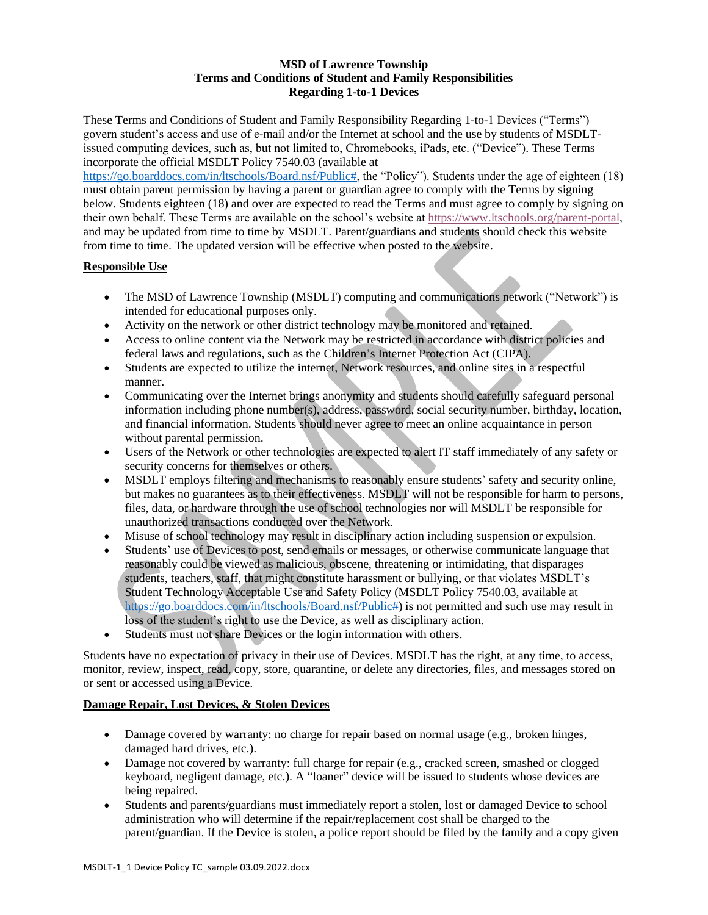### **MSD of Lawrence Township Terms and Conditions of Student and Family Responsibilities Regarding 1-to-1 Devices**

These Terms and Conditions of Student and Family Responsibility Regarding 1-to-1 Devices ("Terms") govern student's access and use of e-mail and/or the Internet at school and the use by students of MSDLTissued computing devices, such as, but not limited to, Chromebooks, iPads, etc. ("Device"). These Terms incorporate the official MSDLT Policy 7540.03 (available at

[https://go.boarddocs.com/in/ltschools/Board.nsf/Public#,](https://go.boarddocs.com/in/ltschools/Board.nsf/Public) the "Policy"). Students under the age of eighteen (18) must obtain parent permission by having a parent or guardian agree to comply with the Terms by signing below. Students eighteen (18) and over are expected to read the Terms and must agree to comply by signing on their own behalf. These Terms are available on the school's website at [https://www.ltschools.org/parent-portal,](https://www.ltschools.org/parent-portal) and may be updated from time to time by MSDLT. Parent/guardians and students should check this website from time to time. The updated version will be effective when posted to the website.

## **Responsible Use**

- The MSD of Lawrence Township (MSDLT) computing and communications network ("Network") is intended for educational purposes only.
- Activity on the network or other district technology may be monitored and retained.
- Access to online content via the Network may be restricted in accordance with district policies and federal laws and regulations, such as the Children's Internet Protection Act (CIPA).
- Students are expected to utilize the internet, Network resources, and online sites in a respectful manner.
- Communicating over the Internet brings anonymity and students should carefully safeguard personal information including phone number(s), address, password, social security number, birthday, location, and financial information. Students should never agree to meet an online acquaintance in person without parental permission.
- Users of the Network or other technologies are expected to alert IT staff immediately of any safety or security concerns for themselves or others.
- MSDLT employs filtering and mechanisms to reasonably ensure students' safety and security online, but makes no guarantees as to their effectiveness. MSDLT will not be responsible for harm to persons, files, data, or hardware through the use of school technologies nor will MSDLT be responsible for unauthorized transactions conducted over the Network.
- Misuse of school technology may result in disciplinary action including suspension or expulsion.
- Students' use of Devices to post, send emails or messages, or otherwise communicate language that reasonably could be viewed as malicious, obscene, threatening or intimidating, that disparages students, teachers, staff, that might constitute harassment or bullying, or that violates MSDLT's Student Technology Acceptable Use and Safety Policy (MSDLT Policy 7540.03, available at [https://go.boarddocs.com/in/ltschools/Board.nsf/Public#\)](https://go.boarddocs.com/in/ltschools/Board.nsf/Public) is not permitted and such use may result in loss of the student's right to use the Device, as well as disciplinary action.
- Students must not share Devices or the login information with others.

Students have no expectation of privacy in their use of Devices. MSDLT has the right, at any time, to access, monitor, review, inspect, read, copy, store, quarantine, or delete any directories, files, and messages stored on or sent or accessed using a Device.

# **Damage Repair, Lost Devices, & Stolen Devices**

- Damage covered by warranty: no charge for repair based on normal usage (e.g., broken hinges, damaged hard drives, etc.).
- Damage not covered by warranty: full charge for repair (e.g., cracked screen, smashed or clogged keyboard, negligent damage, etc.). A "loaner" device will be issued to students whose devices are being repaired.
- Students and parents/guardians must immediately report a stolen, lost or damaged Device to school administration who will determine if the repair/replacement cost shall be charged to the parent/guardian. If the Device is stolen, a police report should be filed by the family and a copy given